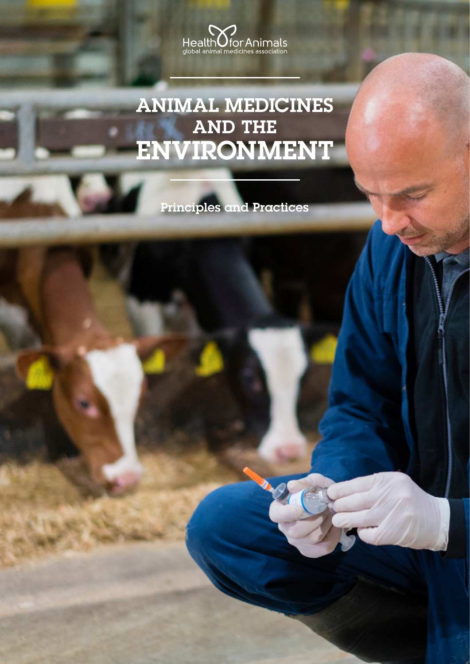

# ANIMAL MEDICINES AND THE ENVIRONMENT

Principles and Practices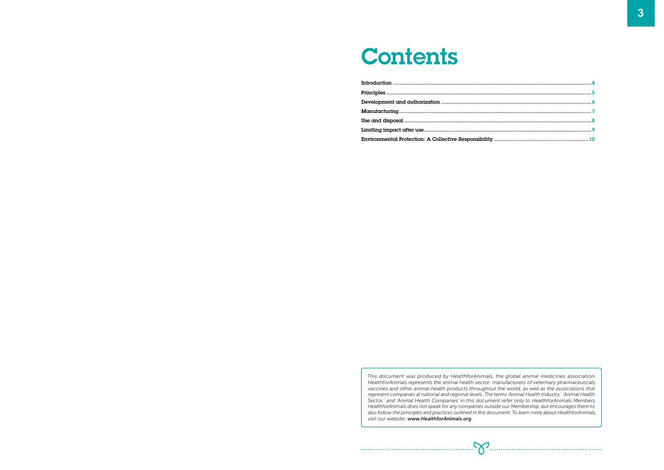# **Contents**

| Environmental Protection: A Collective Responsibility |
|-------------------------------------------------------|

This document was produced by HealthforAnimals, the global animal medicines association. HealthforAnimals represents the animal health sector: manufacturers of veterinary pharmaceuticals, vaccines and other animal health products throughout the world, as well as the associations that represent companies at national and regional levels. The terms 'Animal Health Industry,' 'Animal Health Sector,' and 'Animal Health Companies' in this document refer only to HealthforAnimals Members. HealthforAnimals does not speak for any companies outside our Membership, but encourages them to also follow the principles and practices outlined in this document. To learn more about HealthforAnimals, visit our website: www.HealthforAnimals.org.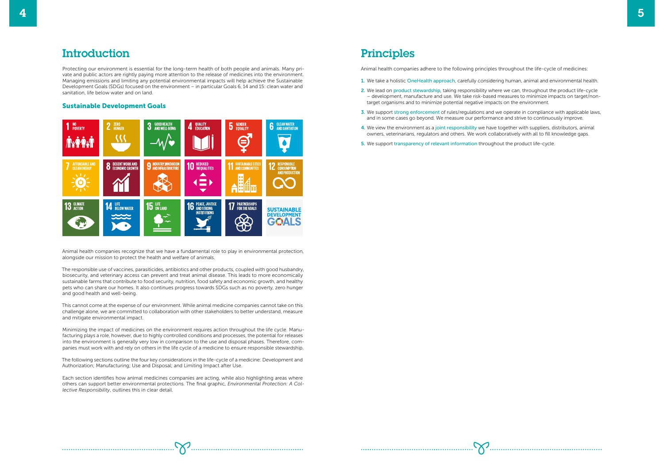## **Introduction**

Protecting our environment is essential for the long-term health of both people and animals. Many private and public actors are rightly paying more attention to the release of medicines into the environment. Managing emissions and limiting any potential environmental impacts will help achieve the Sustainable Development Goals (SDGs) focused on the environment – in particular Goals 6, 14 and 15: clean water and sanitation, life below water and on land.

#### Sustainable Development Goals



Animal health companies recognize that we have a fundamental role to play in environmental protection, alongside our mission to protect the health and welfare of animals.

The responsible use of vaccines, parasiticides, antibiotics and other products, coupled with good husbandry, biosecurity, and veterinary access can prevent and treat animal disease. This leads to more economically sustainable farms that contribute to food security, nutrition, food safety and economic growth, and healthy pets who can share our homes. It also continues progress towards SDGs such as no poverty, zero hunger and good health and well-being.

This cannot come at the expense of our environment. While animal medicine companies cannot take on this challenge alone, we are committed to collaboration with other stakeholders to better understand, measure and mitigate environmental impact.

Minimizing the impact of medicines on the environment requires action throughout the life cycle. Manufacturing plays a role, however, due to highly controlled conditions and processes, the potential for releases into the environment is generally very low in comparison to the use and disposal phases. Therefore, companies must work with and rely on others in the life cycle of a medicine to ensure responsible stewardship.

The following sections outline the four key considerations in the life-cycle of a medicine: Development and Authorization; Manufacturing; Use and Disposal; and Limiting Impact after Use.

Each section identifies how animal medicines companies are acting, while also highlighting areas where others can support better environmental protections. The final graphic, *Environmental Protection: A Collective Responsibility*, outlines this in clear detail.

## Principles

Animal health companies adhere to the following principles throughout the life-cycle of medicines:

- 1. We take a holistic OneHealth approach, carefully considering human, animal and environmental health.
- 2. We lead on product stewardship, taking responsibility where we can, throughout the product life-cycle – development, manufacture and use. We take risk-based measures to minimize impacts on target/nontarget organisms and to minimize potential negative impacts on the environment.
- 3. We support strong enforcement of rules/regulations and we operate in compliance with applicable laws, and in some cases go beyond. We measure our performance and strive to continuously improve.
- 4. We view the environment as a joint responsibility we have together with suppliers, distributors, animal owners, veterinarians, regulators and others. We work collaboratively with all to fill knowledge gaps.
- 5. We support transparency of relevant information throughout the product life-cycle.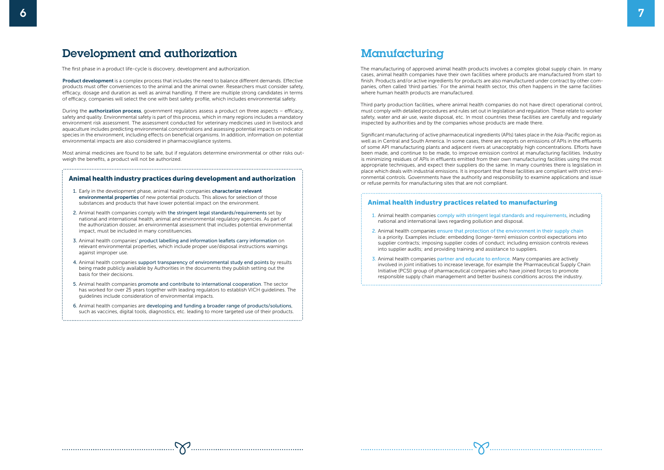The manufacturing of approved animal health products involves a complex global supply chain. In many cases, animal health companies have their own facilities where products are manufactured from start to finish. Products and/or active ingredients for products are also manufactured under contract by other companies, often called 'third parties.' For the animal health sector, this often happens in the same facilities where human health products are manufactured.

Third party production facilities, where animal health companies do not have direct operational control, must comply with detailed procedures and rules set out in legislation and regulation. These relate to worker safety, water and air use, waste disposal, etc. In most countries these facilities are carefully and regularly inspected by authorities and by the companies whose products are made there.

Significant manufacturing of active pharmaceutical ingredients (APIs) takes place in the Asia-Pacific region as well as in Central and South America. In some cases, there are reports on emissions of APIs in the effluents of some API manufacturing plants and adjacent rivers at unacceptably high concentrations. Efforts have been made, and continue to be made, to improve emission control at manufacturing facilities. Industry is minimizing residues of APIs in effluents emitted from their own manufacturing facilities using the most appropriate techniques, and expect their suppliers do the same. In many countries there is legislation in place which deals with industrial emissions. It is important that these facilities are compliant with strict environmental controls. Governments have the authority and responsibility to examine applications and issue or refuse permits for manufacturing sites that are not compliant.

#### Animal health industry practices related to manufacturing

- 1. Early in the development phase, animal health companies characterize relevant environmental properties of new potential products. This allows for selection of those substances and products that have lower potential impact on the environment.
- 2. Animal health companies comply with the stringent legal standards/requirements set by national and international health, animal and environmental regulatory agencies. As part of the authorization dossier, an environmental assessment that includes potential environmental impact, must be included in many constituencies.
- 3. Animal health companies' product labelling and information leaflets carry information on relevant environmental properties, which include proper use/disposal instructions warnings against improper use.
- 4. Animal health companies support transparency of environmental study end points by results being made publicly available by Authorities in the documents they publish setting out the basis for their decisions.
- 5. Animal health companies promote and contribute to international cooperation. The sector has worked for over 25 years together with leading regulators to establish VICH guidelines. The guidelines include consideration of environmental impacts.
- 6. Animal health companies are developing and funding a broader range of products/solutions, such as vaccines, digital tools, diagnostics, etc. leading to more targeted use of their products.

## **Manufacturing**

- 1. Animal health companies comply with stringent legal standards and requirements, including national and international laws regarding pollution and disposal.
- 2. Animal health companies ensure that protection of the environment in their supply chain is a priority. Examples include: embedding (longer-term) emission control expectations into supplier contracts; imposing supplier codes of conduct; including emission controls reviews into supplier audits; and providing training and assistance to suppliers.
- 3. Animal health companies partner and educate to enforce. Many companies are actively involved in joint initiatives to increase leverage, for example the Pharmaceutical Supply Chain Initiative (PCSI) group of pharmaceutical companies who have joined forces to promote responsible supply chain management and better business conditions across the industry.

Product development is a complex process that includes the need to balance different demands. Effective products must offer conveniences to the animal and the animal owner. Researchers must consider safety, efficacy, dosage and duration as well as animal handling. If there are multiple strong candidates in terms of efficacy, companies will select the one with best safety profile, which includes environmental safety.

During the **authorization process**, government regulators assess a product on three aspects – efficacy, safety and quality. Environmental safety is part of this process, which in many regions includes a mandatory environment risk assessment. The assessment conducted for veterinary medicines used in livestock and aquaculture includes predicting environmental concentrations and assessing potential impacts on indicator species in the environment, including effects on beneficial organisms. In addition, information on potential environmental impacts are also considered in pharmacovigilance systems.

#### Animal health industry practices during development and authorization

#### <span id="page-3-0"></span>Development and authorization

The first phase in a product life-cycle is discovery, development and authorization.

Most animal medicines are found to be safe, but if regulators determine environmental or other risks outweigh the benefits, a product will not be authorized.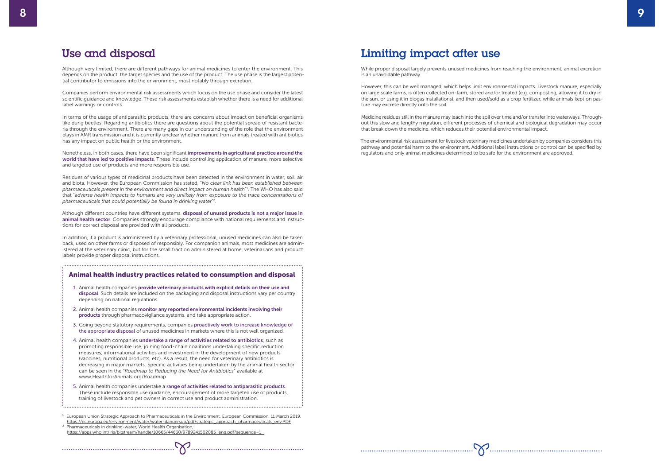# Limiting impact after use

While proper disposal largely prevents unused medicines from reaching the environment, animal excretion is an unavoidable pathway.

However, this can be well managed, which helps limit environmental impacts. Livestock manure, especially on large scale farms, is often collected on-farm, stored and/or treated (e.g. composting, allowing it to dry in the sun, or using it in biogas installations), and then used/sold as a crop fertilizer, while animals kept on pasture may excrete directly onto the soil.

Medicine residues still in the manure may leach into the soil over time and/or transfer into waterways. Throughout this slow and lengthy migration, different processes of chemical and biological degradation may occur that break down the medicine, which reduces their potential environmental impact.

The environmental risk assessment for livestock veterinary medicines undertaken by companies considers this pathway and potential harm to the environment. Additional label instructions or control can be specified by regulators and only animal medicines determined to be safe for the environment are approved.

In terms of the usage of antiparasitic products, there are concerns about impact on beneficial organisms like dung beetles. Regarding antibiotics there are questions about the potential spread of resistant bacteria through the environment. There are many gaps in our understanding of the role that the environment plays in AMR transmission and it is currently unclear whether manure from animals treated with antibiotics has any impact on public health or the environment.

#### Use and disposal

Although very limited, there are different pathways for animal medicines to enter the environment. This depends on the product, the target species and the use of the product. The use phase is the largest potential contributor to emissions into the environment, most notably through excretion.

Companies perform environmental risk assessments which focus on the use phase and consider the latest scientific guidance and knowledge. These risk assessments establish whether there is a need for additional label warnings or controls.

Although different countries have different systems, **disposal of unused products is not a major issue in** animal health sector. Companies strongly encourage compliance with national requirements and instructions for correct disposal are provided with all products.

Nonetheless, in both cases, there have been significant improvements in agricultural practice around the world that have led to positive impacts. These include controlling application of manure, more selective and targeted use of products and more responsible use.

Residues of various types of medicinal products have been detected in the environment in water, soil, air, and biota. However, the European Commission has stated, "*No clear link has been established between pharmaceuticals present in the environment and direct impact on human health*" 1 . The WHO has also said that "*adverse health impacts to humans are very unlikely from exposure to the trace concentrations of pharmaceuticals that could potentially be found in drinking water*" 2.

In addition, if a product is administered by a veterinary professional, unused medicines can also be taken back, used on other farms or disposed of responsibly. For companion animals, most medicines are administered at the veterinary clinic, but for the small fraction administered at home, veterinarians and product labels provide proper disposal instructions.

#### Animal health industry practices related to consumption and disposal

- 1. Animal health companies provide veterinary products with explicit details on their use and disposal. Such details are included on the packaging and disposal instructions vary per country depending on national regulations.
- 2. Animal health companies monitor any reported environmental incidents involving their products through pharmacovigilance systems, and take appropriate action.
- 3. Going beyond statutory requirements, companies proactively work to increase knowledge of the appropriate disposal of unused medicines in markets where this is not well organized.
- 4. Animal health companies undertake a range of activities related to antibiotics, such as promoting responsible use, joining food-chain coalitions undertaking specific reduction measures, informational activities and investment in the development of new products (vaccines, nutritional products, etc). As a result, the need for veterinary antibiotics is decreasing in major markets. Specific activities being undertaken by the animal health sector can be seen in the "*Roadmap to Reducing the Need for Antibiotics*" available at www.HealthforAnimals.org/Roadmap
- 5. Animal health companies undertake a range of activities related to antiparasitic products. These include responsible use guidance, encouragement of more targeted use of products, training of livestock and pet owners in correct use and product administration.
- <sup>1</sup> European Union Strategic Approach to Pharmaceuticals in the Environment, European Commission, 11 March 2019, https://ec.europa.eu/environment/water/water-dangersub/pdf/strategic\_approach\_pharmaceuticals\_env.PDF

 $\sum_{i=1}^{n}$ 

<sup>2</sup> Pharmaceuticals in drinking-water, World Health Organisation, https://apps.who.int/iris/bitstream/handle/10665/44630/9789241502085\_eng.pdf?sequence=1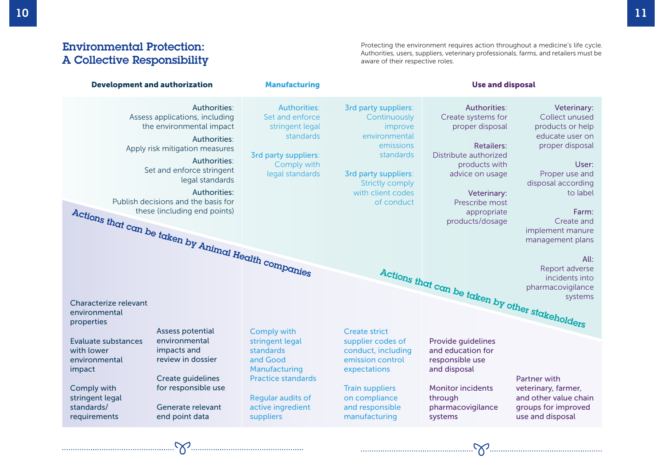# Environmental Protection: A Collective Responsibility

Protecting the environment requires action throughout a medicine's life cycle. Authorities, users, suppliers, veterinary professionals, farms, and retailers must be aware of their respective roles.

| <b>Development and authorization</b>                                                                                                                                                                                     |                                                                                               | <b>Manufacturing</b>                                                                                                                    | <b>Use and disposal</b>                                                                                                                                                                       |                                                                                                                                                                                                                   |                                                                                                                                                                                                                     |
|--------------------------------------------------------------------------------------------------------------------------------------------------------------------------------------------------------------------------|-----------------------------------------------------------------------------------------------|-----------------------------------------------------------------------------------------------------------------------------------------|-----------------------------------------------------------------------------------------------------------------------------------------------------------------------------------------------|-------------------------------------------------------------------------------------------------------------------------------------------------------------------------------------------------------------------|---------------------------------------------------------------------------------------------------------------------------------------------------------------------------------------------------------------------|
| Assess applications, including<br>the environmental impact<br>Apply risk mitigation measures<br>Set and enforce stringent<br>Publish decisions and the basis for<br>Actions that can be taken by Animal Health companies | Authorities:<br>Authorities:<br><b>Authorities:</b><br>legal standards<br><b>Authorities:</b> | <b>Authorities:</b><br>Set and enforce<br>stringent legal<br>standards<br><b>3rd party suppliers:</b><br>Comply with<br>legal standards | <b>3rd party suppliers:</b><br>Continuously<br>improve<br>environmental<br>emissions<br>standards<br><b>3rd party suppliers:</b><br><b>Strictly comply</b><br>with client codes<br>of conduct | Authorities:<br>Create systems for<br>proper disposal<br><b>Retailers:</b><br>Distribute authorized<br>products with<br>advice on usage<br><b>Veterinary:</b><br>Prescribe most<br>appropriate<br>products/dosage | Veterinary:<br>Collect unused<br>products or help<br>educate user on<br>proper disposal<br>User:<br>Proper use and<br>disposal according<br>to label<br>Farm:<br>Create and<br>implement manure<br>management plans |
| All:                                                                                                                                                                                                                     |                                                                                               |                                                                                                                                         |                                                                                                                                                                                               |                                                                                                                                                                                                                   |                                                                                                                                                                                                                     |
| Characterize relevant<br>environmental<br>properties                                                                                                                                                                     |                                                                                               |                                                                                                                                         |                                                                                                                                                                                               | Actions that can be taken by other stakeholders                                                                                                                                                                   |                                                                                                                                                                                                                     |
| <b>Assess potential</b>                                                                                                                                                                                                  |                                                                                               | <b>Comply with</b>                                                                                                                      | <b>Create strict</b>                                                                                                                                                                          |                                                                                                                                                                                                                   |                                                                                                                                                                                                                     |
| environmental<br>Evaluate substances<br>impacts and<br>with lower<br>review in dossier<br>environmental<br>impact<br><b>Create guidelines</b>                                                                            |                                                                                               | stringent legal<br>standards<br>and Good<br>Manufacturing<br><b>Practice standards</b>                                                  | supplier codes of<br>conduct, including<br>emission control<br>expectations                                                                                                                   | Provide guidelines<br>and education for<br>responsible use<br>and disposal                                                                                                                                        | <b>Partner with</b>                                                                                                                                                                                                 |
| for responsible use<br>Comply with<br>stringent legal<br>standards/<br>Generate relevant<br>requirements<br>end point data                                                                                               |                                                                                               | <b>Regular audits of</b><br>active ingredient<br>suppliers                                                                              | <b>Train suppliers</b><br>on compliance<br>and responsible<br>manufacturing                                                                                                                   | <b>Monitor incidents</b><br>through<br>pharmacovigilance<br>systems                                                                                                                                               | veterinary, farmer,<br>and other value chain<br>groups for improved<br>use and disposal                                                                                                                             |
| $\sum$                                                                                                                                                                                                                   |                                                                                               |                                                                                                                                         |                                                                                                                                                                                               |                                                                                                                                                                                                                   | $\sum_{i=1}^{n}$                                                                                                                                                                                                    |